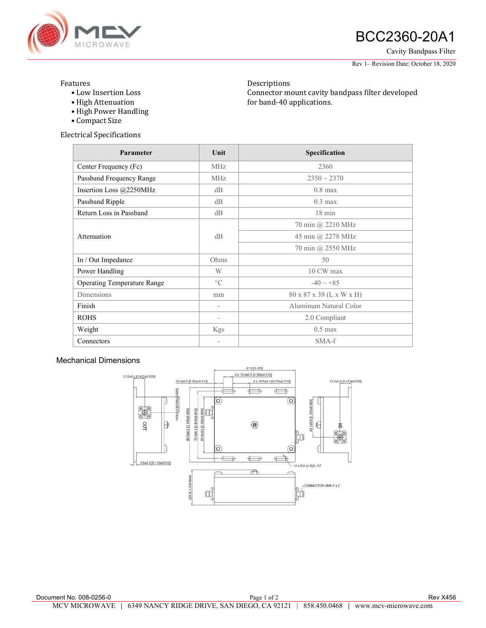

# **ANGROWAVE BCC2360-20A1**

Cavity Bandpass Filter

Rev 1– Revision Date: October 18, 2020

#### Features

• Low Insertion Loss

Descriptions Connector mount cavity bandpass filter developed for band-40 applications.

- High Attenuation • High Power Handling
- Compact Size

Electrical Specifications

| Parameter                   | Unit                     | Specification            |
|-----------------------------|--------------------------|--------------------------|
| Center Frequency (Fc)       | <b>MHz</b>               | 2360                     |
| Passband Frequency Range    | <b>MHz</b>               | $2350 \sim 2370$         |
| Insertion Loss $@2250MHz$   | dB                       | $0.8$ max                |
| Passband Ripple             | dB                       | $0.3 \text{ max}$        |
| Return Loss in Passband     | dB                       | $18 \text{ min}$         |
|                             |                          | 70 min @ 2210 MHz        |
| Attenuation                 | dB                       | 45 min @ 2278 MHz        |
|                             |                          | 70 min @ 2550 MHz        |
| In / Out Impedance          | Ohms                     | 50                       |
| Power Handling              | W                        | 10 CW max                |
| Operating Temperature Range | $\rm ^{\circ}C$          | $-40 \sim +85$           |
| Dimensions                  | mm                       | 80 x 87 x 39 (L x W x H) |
| Finish                      | $\overline{\phantom{a}}$ | Aluminum Natural Color   |
| <b>ROHS</b>                 | $\overline{\phantom{a}}$ | 2.0 Compliant            |
| Weight                      | Kgs                      | $0.5$ max                |
| Connectors                  |                          | SMA-f                    |

### Mechanical Dimensions